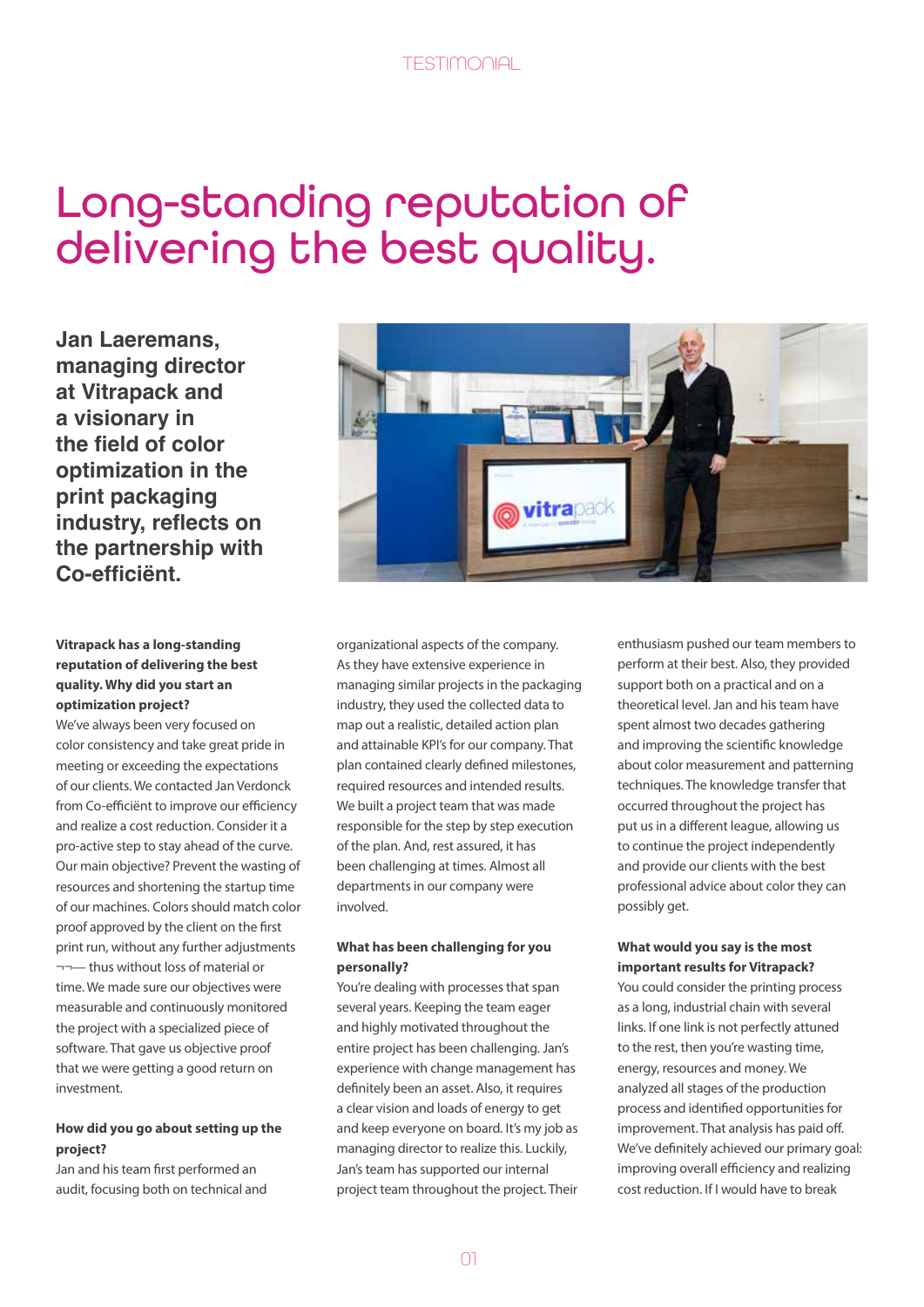# Long-standing reputation of delivering the best quality.

**Jan Laeremans, managing director at Vitrapack and a visionary in the field of color optimization in the print packaging industry, reflects on the partnership with Co-efficiënt.**

#### **Vitrapack has a long-standing reputation of delivering the best quality. Why did you start an optimization project?**

We've always been very focused on color consistency and take great pride in meeting or exceeding the expectations of our clients. We contacted Jan Verdonck from Co-efficiënt to improve our efficiency and realize a cost reduction. Consider it a pro-active step to stay ahead of the curve. Our main objective? Prevent the wasting of resources and shortening the startup time of our machines. Colors should match color proof approved by the client on the first print run, without any further adjustments ¬¬— thus without loss of material or time. We made sure our objectives were measurable and continuously monitored the project with a specialized piece of software. That gave us objective proof that we were getting a good return on investment.

#### **How did you go about setting up the project?**

Jan and his team first performed an audit, focusing both on technical and



organizational aspects of the company. As they have extensive experience in managing similar projects in the packaging industry, they used the collected data to map out a realistic, detailed action plan and attainable KPI's for our company. That plan contained clearly defined milestones, required resources and intended results. We built a project team that was made responsible for the step by step execution of the plan. And, rest assured, it has been challenging at times. Almost all departments in our company were involved.

#### **What has been challenging for you personally?**

You're dealing with processes that span several years. Keeping the team eager and highly motivated throughout the entire project has been challenging. Jan's experience with change management has definitely been an asset. Also, it requires a clear vision and loads of energy to get and keep everyone on board. It's my job as managing director to realize this. Luckily, Jan's team has supported our internal project team throughout the project. Their enthusiasm pushed our team members to perform at their best. Also, they provided support both on a practical and on a theoretical level. Jan and his team have spent almost two decades gathering and improving the scientific knowledge about color measurement and patterning techniques. The knowledge transfer that occurred throughout the project has put us in a different league, allowing us to continue the project independently and provide our clients with the best professional advice about color they can possibly get.

#### **What would you say is the most important results for Vitrapack?**

You could consider the printing process as a long, industrial chain with several links. If one link is not perfectly attuned to the rest, then you're wasting time, energy, resources and money. We analyzed all stages of the production process and identified opportunities for improvement. That analysis has paid off. We've definitely achieved our primary goal: improving overall efficiency and realizing cost reduction. If I would have to break